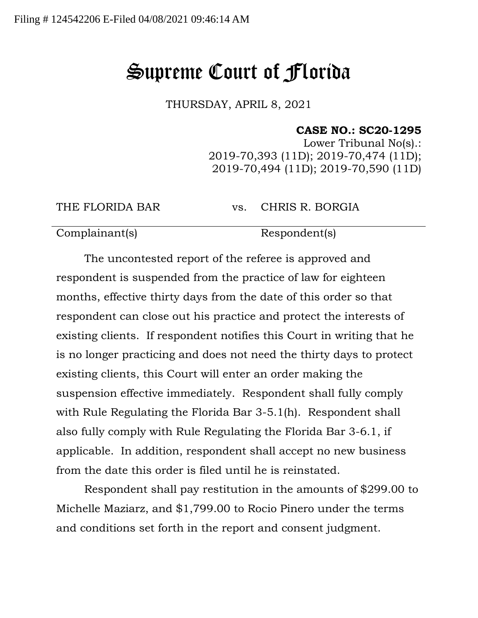## Supreme Court of Florida

THURSDAY, APRIL 8, 2021

## **CASE NO.: SC20-1295**

Lower Tribunal No(s).: 2019-70,393 (11D); 2019-70,474 (11D); 2019-70,494 (11D); 2019-70,590 (11D)

THE FLORIDA BAR vs. CHRIS R. BORGIA

Complainant(s) Respondent(s)

The uncontested report of the referee is approved and respondent is suspended from the practice of law for eighteen months, effective thirty days from the date of this order so that respondent can close out his practice and protect the interests of existing clients. If respondent notifies this Court in writing that he is no longer practicing and does not need the thirty days to protect existing clients, this Court will enter an order making the suspension effective immediately. Respondent shall fully comply with Rule Regulating the Florida Bar 3-5.1(h). Respondent shall also fully comply with Rule Regulating the Florida Bar 3-6.1, if applicable. In addition, respondent shall accept no new business from the date this order is filed until he is reinstated.

Respondent shall pay restitution in the amounts of \$299.00 to Michelle Maziarz, and \$1,799.00 to Rocio Pinero under the terms and conditions set forth in the report and consent judgment.